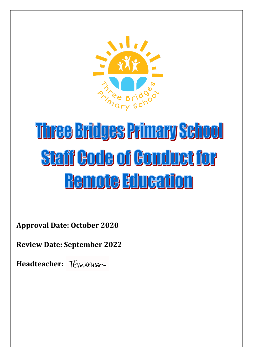

## **Three Bridges Primary Sehool Staff Code of Conduct for** Remote alueation

**Approval Date: October 2020**

**Review Date: September 2022**

**Headteacher:**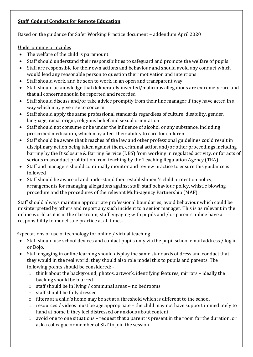## **Staff Code of Conduct for Remote Education**

Based on the guidance for Safer Working Practice document – addendum April 2020

## Underpinning principles

- The welfare of the child is paramount
- Staff should understand their responsibilities to safeguard and promote the welfare of pupils
- Staff are responsible for their own actions and behaviour and should avoid any conduct which would lead any reasonable person to question their motivation and intentions
- Staff should work, and be seen to work, in an open and transparent way
- Staff should acknowledge that deliberately invented/malicious allegations are extremely rare and that all concerns should be reported and recorded
- Staff should discuss and/or take advice promptly from their line manager if they have acted in a way which may give rise to concern
- Staff should apply the same professional standards regardless of culture, disability, gender, language, racial origin, religious belief and sexual orientation
- Staff should not consume or be under the influence of alcohol or any substance, including prescribed medication, which may affect their ability to care for children
- Staff should be aware that breaches of the law and other professional guidelines could result in disciplinary action being taken against them, criminal action and/or other proceedings including barring by the Disclosure & Barring Service (DBS) from working in regulated activity, or for acts of serious misconduct prohibition from teaching by the Teaching Regulation Agency (TRA)
- Staff and managers should continually monitor and review practice to ensure this guidance is followed
- Staff should be aware of and understand their establishment's child protection policy, arrangements for managing allegations against staff, staff behaviour policy, whistle blowing procedure and the procedures of the relevant Multi-agency Partnership (MAP).

Staff should always maintain appropriate professional boundaries, avoid behaviour which could be misinterpreted by others and report any such incident to a senior manager. This is as relevant in the online world as it is in the classroom; staff engaging with pupils and / or parents online have a responsibility to model safe practice at all times.

Expectations of use of technology for online / virtual teaching

- Staff should use school devices and contact pupils only via the pupil school email address / log in or Dojo.
- Staff engaging in online learning should display the same standards of dress and conduct that they would in the real world; they should also role model this to pupils and parents. The following points should be considered:
	- o think about the background; photos, artwork, identifying features, mirrors ideally the backing should be blurred
	- o staff should be in living / communal areas no bedrooms
	- o staff should be fully dressed
	- o filters at a child's home may be set at a threshold which is different to the school
	- $\circ$  resources / videos must be age appropriate the child may not have support immediately to hand at home if they feel distressed or anxious about content
	- $\circ$  avoid one to one situations request that a parent is present in the room for the duration, or ask a colleague or member of SLT to join the session